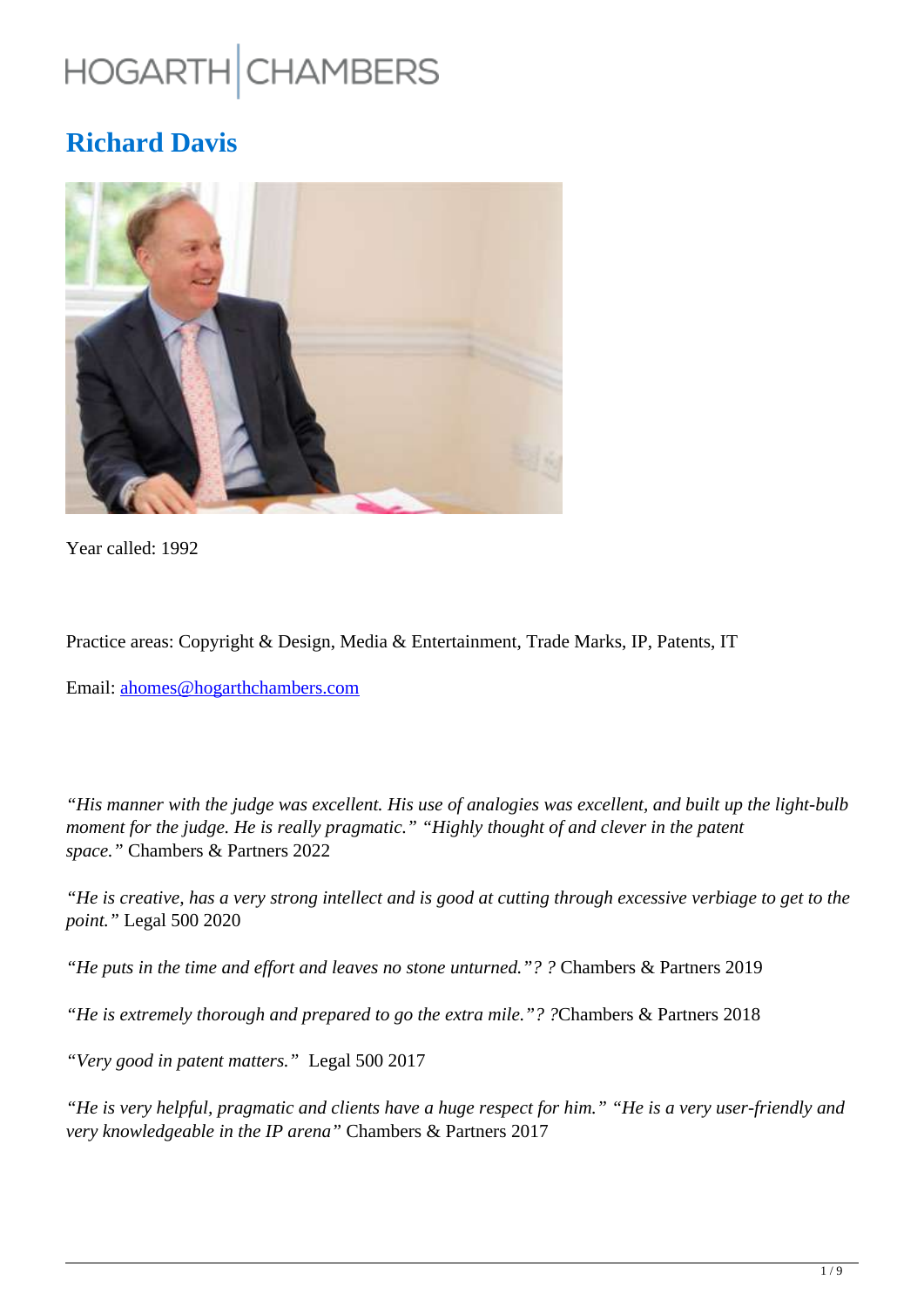# HOGARTH CHAMBERS

# **Richard Davis**



Year called: 1992

Practice areas: Copyright & Design, Media & Entertainment, Trade Marks, IP, Patents, IT

Email: ahomes@hogarthchambers.com

*"His manner with the judge was excellent. His use of analogies was excellent, and built up the light-bulb moment for the judge. He is really pragmatic." "Highly thought of and clever in the patent space."* Chambers & Partners 2022

*"He is creative, has a very strong intellect and is good at cutting through excessive verbiage to get to the point."* Legal 500 2020

*"He puts in the time and effort and leaves no stone unturned."? ?* Chambers & Partners 2019

*"He is extremely thorough and prepared to go the extra mile."? ?*Chambers & Partners 2018

*"Very good in patent matters."* Legal 500 2017

*"He is very helpful, pragmatic and clients have a huge respect for him." "He is a very user-friendly and very knowledgeable in the IP arena"* Chambers & Partners 2017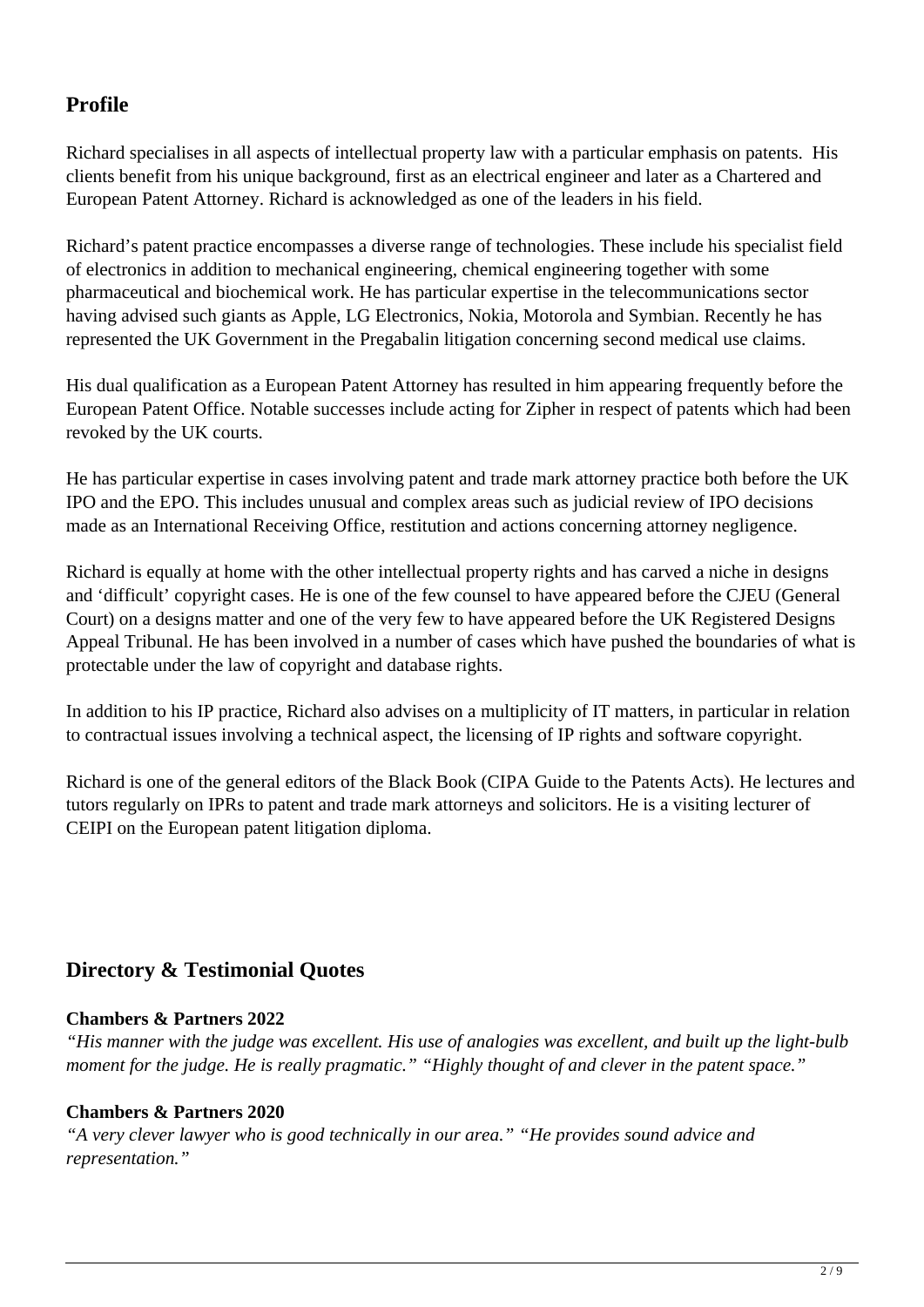# **Profile**

Richard specialises in all aspects of intellectual property law with a particular emphasis on patents. His clients benefit from his unique background, first as an electrical engineer and later as a Chartered and European Patent Attorney. Richard is acknowledged as one of the leaders in his field.

Richard's patent practice encompasses a diverse range of technologies. These include his specialist field of electronics in addition to mechanical engineering, chemical engineering together with some pharmaceutical and biochemical work. He has particular expertise in the telecommunications sector having advised such giants as Apple, LG Electronics, Nokia, Motorola and Symbian. Recently he has represented the UK Government in the Pregabalin litigation concerning second medical use claims.

His dual qualification as a European Patent Attorney has resulted in him appearing frequently before the European Patent Office. Notable successes include acting for Zipher in respect of patents which had been revoked by the UK courts.

He has particular expertise in cases involving patent and trade mark attorney practice both before the UK IPO and the EPO. This includes unusual and complex areas such as judicial review of IPO decisions made as an International Receiving Office, restitution and actions concerning attorney negligence.

Richard is equally at home with the other intellectual property rights and has carved a niche in designs and 'difficult' copyright cases. He is one of the few counsel to have appeared before the CJEU (General Court) on a designs matter and one of the very few to have appeared before the UK Registered Designs Appeal Tribunal. He has been involved in a number of cases which have pushed the boundaries of what is protectable under the law of copyright and database rights.

In addition to his IP practice, Richard also advises on a multiplicity of IT matters, in particular in relation to contractual issues involving a technical aspect, the licensing of IP rights and software copyright.

Richard is one of the general editors of the Black Book (CIPA Guide to the Patents Acts). He lectures and tutors regularly on IPRs to patent and trade mark attorneys and solicitors. He is a visiting lecturer of CEIPI on the European patent litigation diploma.

# **Directory & Testimonial Quotes**

# **Chambers & Partners 2022**

*"His manner with the judge was excellent. His use of analogies was excellent, and built up the light-bulb moment for the judge. He is really pragmatic." "Highly thought of and clever in the patent space."* 

# **Chambers & Partners 2020**

*"A very clever lawyer who is good technically in our area." "He provides sound advice and representation."*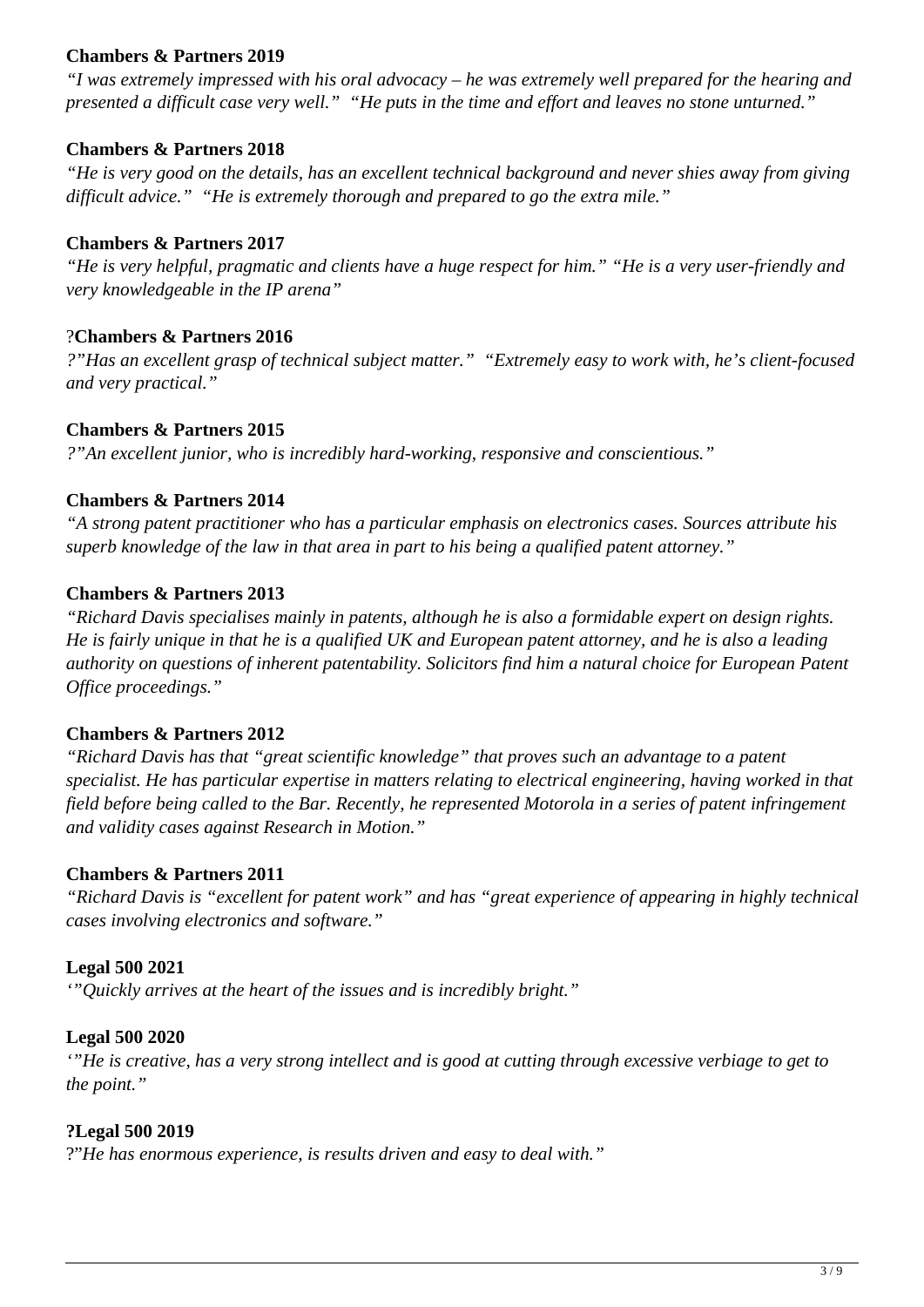# **Chambers & Partners 2019**

*"I was extremely impressed with his oral advocacy – he was extremely well prepared for the hearing and presented a difficult case very well." "He puts in the time and effort and leaves no stone unturned."*

# **Chambers & Partners 2018**

*"He is very good on the details, has an excellent technical background and never shies away from giving difficult advice." "He is extremely thorough and prepared to go the extra mile."*

# **Chambers & Partners 2017**

*"He is very helpful, pragmatic and clients have a huge respect for him." "He is a very user-friendly and very knowledgeable in the IP arena"*

# ?**Chambers & Partners 2016**

*?"Has an excellent grasp of technical subject matter." "Extremely easy to work with, he's client-focused and very practical."*

# **Chambers & Partners 2015**

*?"An excellent junior, who is incredibly hard-working, responsive and conscientious."*

# **Chambers & Partners 2014**

*"A strong patent practitioner who has a particular emphasis on electronics cases. Sources attribute his superb knowledge of the law in that area in part to his being a qualified patent attorney."*

# **Chambers & Partners 2013**

*"Richard Davis specialises mainly in patents, although he is also a formidable expert on design rights. He is fairly unique in that he is a qualified UK and European patent attorney, and he is also a leading authority on questions of inherent patentability. Solicitors find him a natural choice for European Patent Office proceedings."*

#### **Chambers & Partners 2012**

*"Richard Davis has that "great scientific knowledge" that proves such an advantage to a patent specialist. He has particular expertise in matters relating to electrical engineering, having worked in that field before being called to the Bar. Recently, he represented Motorola in a series of patent infringement and validity cases against Research in Motion."*

#### **Chambers & Partners 2011**

*"Richard Davis is "excellent for patent work" and has "great experience of appearing in highly technical cases involving electronics and software."*

#### **Legal 500 2021**

*'"Quickly arrives at the heart of the issues and is incredibly bright."*

#### **Legal 500 2020**

*'"He is creative, has a very strong intellect and is good at cutting through excessive verbiage to get to the point."*

#### **?Legal 500 2019**

?"*He has enormous experience, is results driven and easy to deal with."*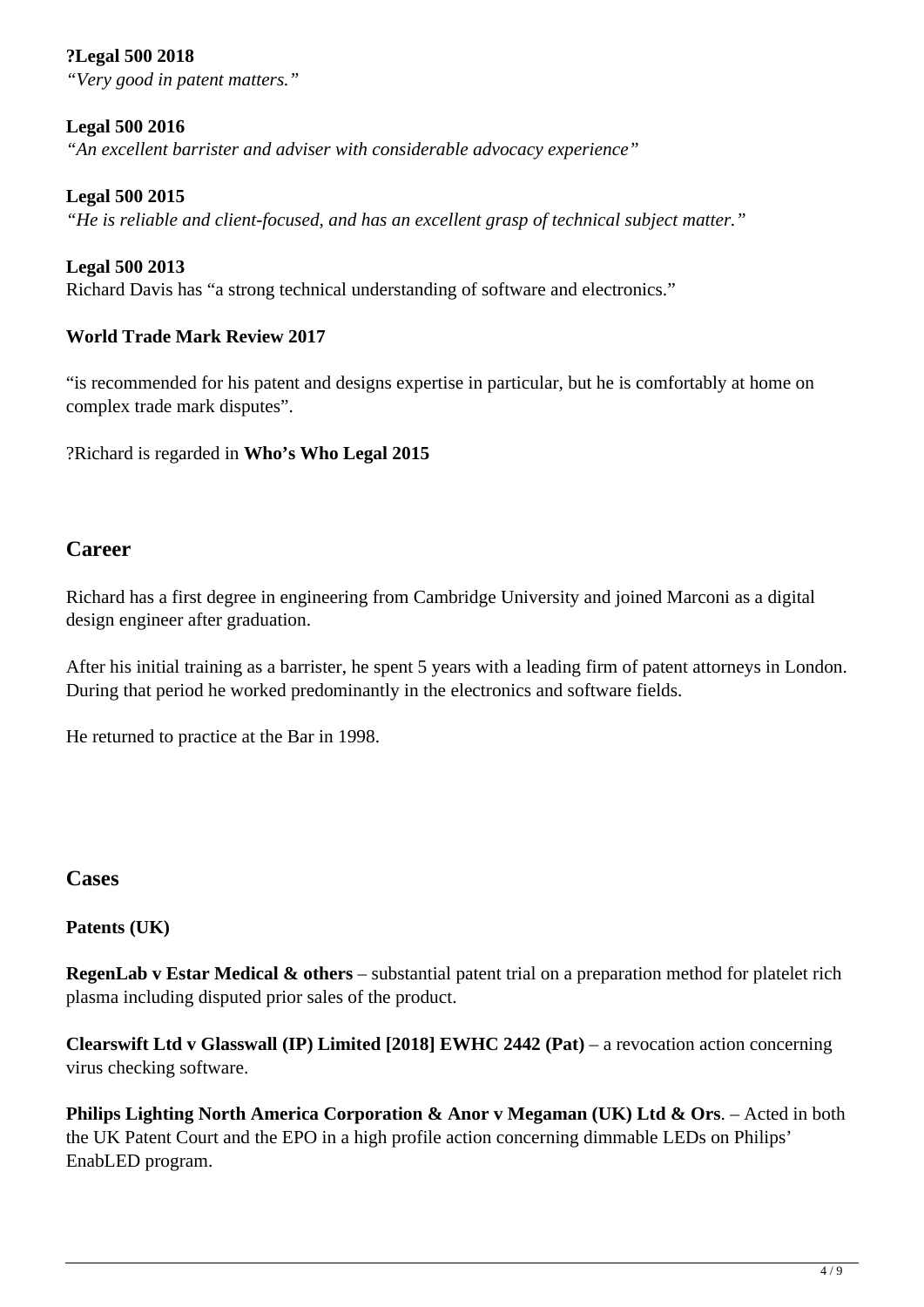# **?Legal 500 2018**

*"Very good in patent matters."*

# **Legal 500 2016**

*"An excellent barrister and adviser with considerable advocacy experience"*

# **Legal 500 2015**

*"He is reliable and client-focused, and has an excellent grasp of technical subject matter."*

# **Legal 500 2013**

Richard Davis has "a strong technical understanding of software and electronics."

# **World Trade Mark Review 2017**

"is recommended for his patent and designs expertise in particular, but he is comfortably at home on complex trade mark disputes".

?Richard is regarded in **Who's Who Legal 2015**

# **Career**

Richard has a first degree in engineering from Cambridge University and joined Marconi as a digital design engineer after graduation.

After his initial training as a barrister, he spent 5 years with a leading firm of patent attorneys in London. During that period he worked predominantly in the electronics and software fields.

He returned to practice at the Bar in 1998.

# **Cases**

# **Patents (UK)**

**RegenLab v Estar Medical & others** – substantial patent trial on a preparation method for platelet rich plasma including disputed prior sales of the product.

**Clearswift Ltd v Glasswall (IP) Limited [2018] EWHC 2442 (Pat)** – a revocation action concerning virus checking software.

**Philips Lighting North America Corporation & Anor v Megaman (UK) Ltd & Ors**. – Acted in both the UK Patent Court and the EPO in a high profile action concerning dimmable LEDs on Philips' EnabLED program.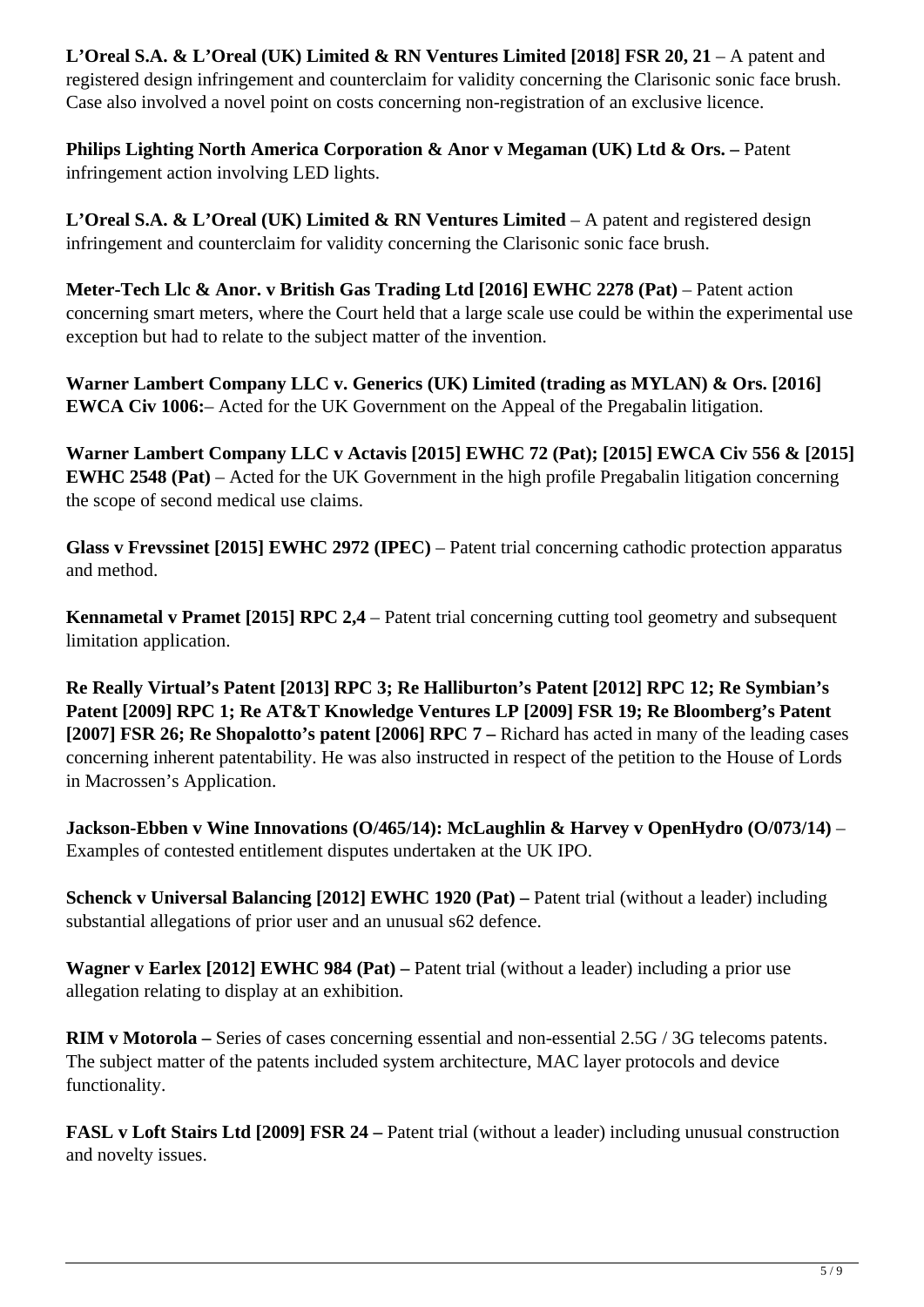**L'Oreal S.A. & L'Oreal (UK) Limited & RN Ventures Limited [2018] FSR 20, 21 – A patent and** registered design infringement and counterclaim for validity concerning the Clarisonic sonic face brush. Case also involved a novel point on costs concerning non-registration of an exclusive licence.

**Philips Lighting North America Corporation & Anor v Megaman (UK) Ltd & Ors. – Patent** infringement action involving LED lights.

**L'Oreal S.A. & L'Oreal (UK) Limited & RN Ventures Limited** – A patent and registered design infringement and counterclaim for validity concerning the Clarisonic sonic face brush.

**Meter-Tech Llc & Anor. v British Gas Trading Ltd [2016] EWHC 2278 (Pat)** – Patent action concerning smart meters, where the Court held that a large scale use could be within the experimental use exception but had to relate to the subject matter of the invention.

**Warner Lambert Company LLC v. Generics (UK) Limited (trading as MYLAN) & Ors. [2016] EWCA Civ 1006:**– Acted for the UK Government on the Appeal of the Pregabalin litigation.

**Warner Lambert Company LLC v Actavis [2015] EWHC 72 (Pat); [2015] EWCA Civ 556 & [2015] EWHC 2548 (Pat)** – Acted for the UK Government in the high profile Pregabalin litigation concerning the scope of second medical use claims.

**Glass v Frevssinet [2015] EWHC 2972 (IPEC)** – Patent trial concerning cathodic protection apparatus and method.

**Kennametal v Pramet [2015] RPC 2,4** – Patent trial concerning cutting tool geometry and subsequent limitation application.

**Re Really Virtual's Patent [2013] RPC 3; Re Halliburton's Patent [2012] RPC 12; Re Symbian's Patent [2009] RPC 1; Re AT&T Knowledge Ventures LP [2009] FSR 19; Re Bloomberg's Patent [2007] FSR 26; Re Shopalotto's patent [2006] RPC 7 –** Richard has acted in many of the leading cases concerning inherent patentability. He was also instructed in respect of the petition to the House of Lords in Macrossen's Application.

**Jackson-Ebben v Wine Innovations (O/465/14): McLaughlin & Harvey v OpenHydro (O/073/14)** – Examples of contested entitlement disputes undertaken at the UK IPO.

**Schenck v Universal Balancing [2012] EWHC 1920 (Pat) –** Patent trial (without a leader) including substantial allegations of prior user and an unusual s62 defence.

**Wagner v Earlex [2012] EWHC 984 (Pat) –** Patent trial (without a leader) including a prior use allegation relating to display at an exhibition.

**RIM v Motorola –** Series of cases concerning essential and non-essential 2.5G / 3G telecoms patents. The subject matter of the patents included system architecture, MAC layer protocols and device functionality.

**FASL v Loft Stairs Ltd [2009] FSR 24 –** Patent trial (without a leader) including unusual construction and novelty issues.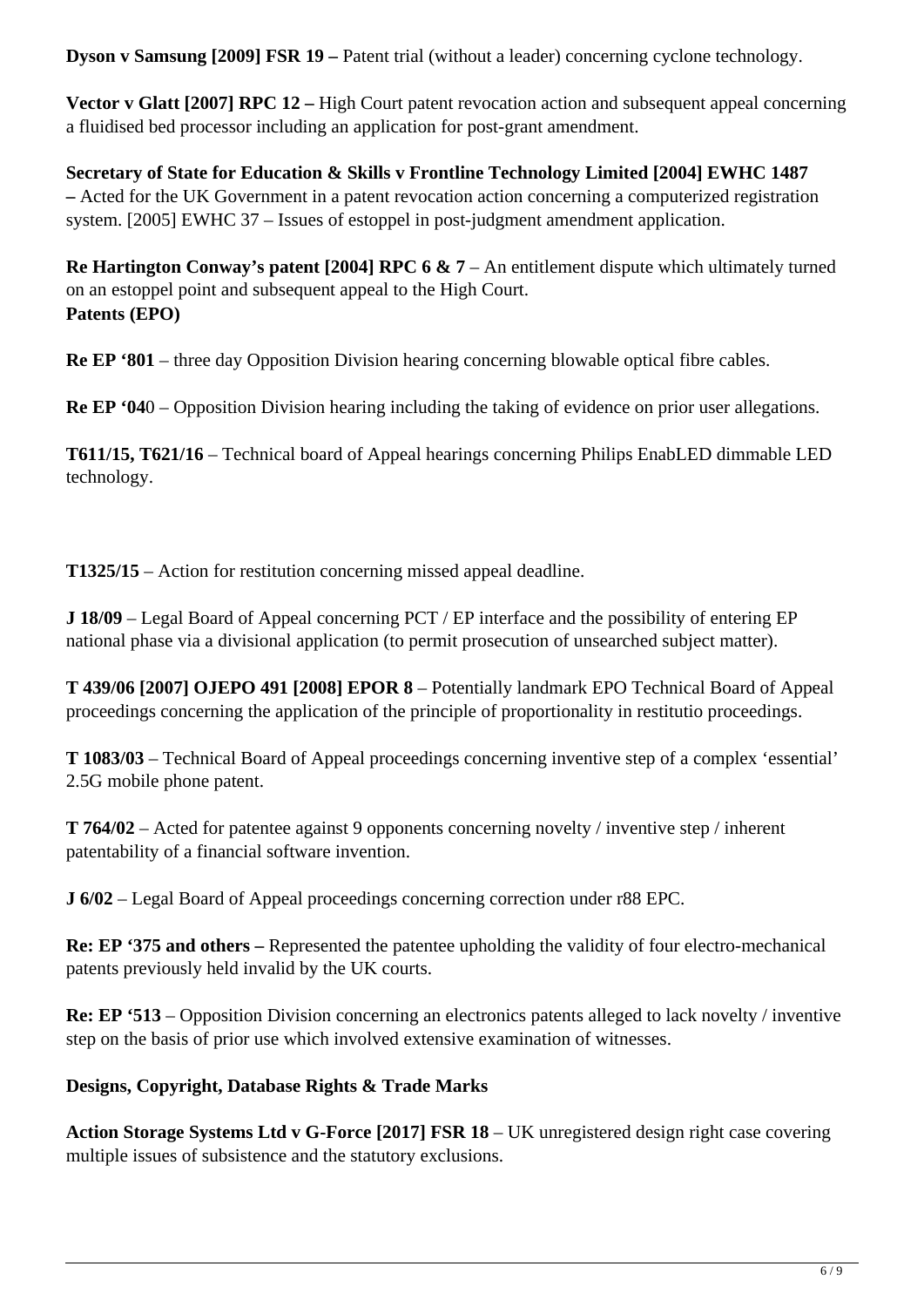**Dyson v Samsung [2009] FSR 19 –** Patent trial (without a leader) concerning cyclone technology.

**Vector v Glatt [2007] RPC 12 –** High Court patent revocation action and subsequent appeal concerning a fluidised bed processor including an application for post-grant amendment.

**Secretary of State for Education & Skills v Frontline Technology Limited [2004] EWHC 1487 –** Acted for the UK Government in a patent revocation action concerning a computerized registration system. [2005] EWHC 37 – Issues of estoppel in post-judgment amendment application.

**Re Hartington Conway's patent [2004] RPC 6 & 7** – An entitlement dispute which ultimately turned on an estoppel point and subsequent appeal to the High Court. **Patents (EPO)**

**Re EP '801** – three day Opposition Division hearing concerning blowable optical fibre cables.

**Re EP '04**0 – Opposition Division hearing including the taking of evidence on prior user allegations.

**T611/15, T621/16** – Technical board of Appeal hearings concerning Philips EnabLED dimmable LED technology.

**T1325/15** – Action for restitution concerning missed appeal deadline.

**J 18/09** – Legal Board of Appeal concerning PCT / EP interface and the possibility of entering EP national phase via a divisional application (to permit prosecution of unsearched subject matter).

**T 439/06 [2007] OJEPO 491 [2008] EPOR 8** – Potentially landmark EPO Technical Board of Appeal proceedings concerning the application of the principle of proportionality in restitutio proceedings.

**T 1083/03** – Technical Board of Appeal proceedings concerning inventive step of a complex 'essential' 2.5G mobile phone patent.

**T 764/02** – Acted for patentee against 9 opponents concerning novelty / inventive step / inherent patentability of a financial software invention.

**J 6/02** – Legal Board of Appeal proceedings concerning correction under r88 EPC.

**Re: EP '375 and others –** Represented the patentee upholding the validity of four electro-mechanical patents previously held invalid by the UK courts.

**Re: EP '513** – Opposition Division concerning an electronics patents alleged to lack novelty / inventive step on the basis of prior use which involved extensive examination of witnesses.

# **Designs, Copyright, Database Rights & Trade Marks**

**Action Storage Systems Ltd v G-Force [2017] FSR 18** – UK unregistered design right case covering multiple issues of subsistence and the statutory exclusions.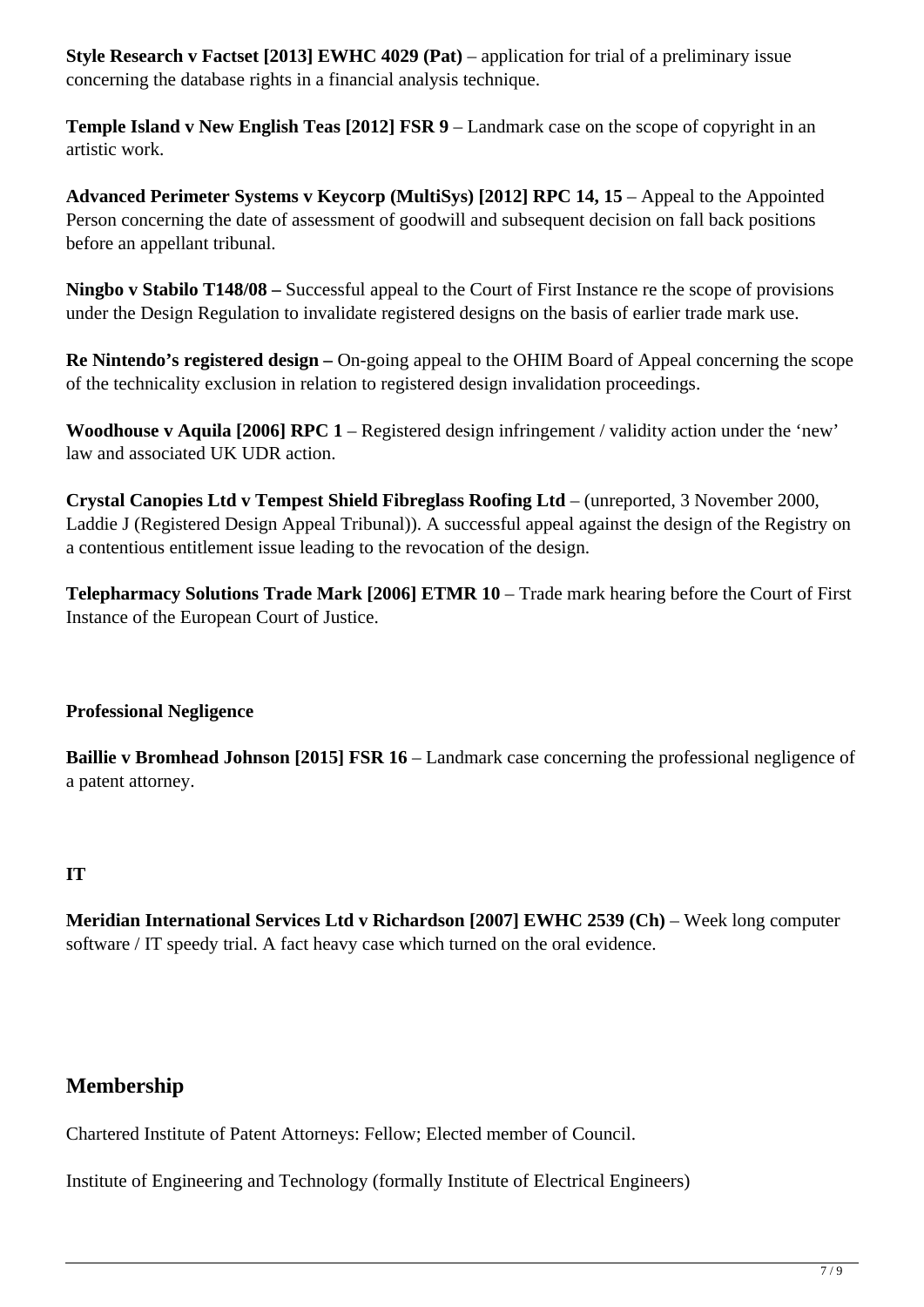**Style Research v Factset [2013] EWHC 4029 (Pat)** – application for trial of a preliminary issue concerning the database rights in a financial analysis technique.

**Temple Island v New English Teas [2012] FSR 9** – Landmark case on the scope of copyright in an artistic work.

**Advanced Perimeter Systems v Keycorp (MultiSys) [2012] RPC 14, 15** – Appeal to the Appointed Person concerning the date of assessment of goodwill and subsequent decision on fall back positions before an appellant tribunal.

**Ningbo v Stabilo T148/08 –** Successful appeal to the Court of First Instance re the scope of provisions under the Design Regulation to invalidate registered designs on the basis of earlier trade mark use.

**Re Nintendo's registered design –** On-going appeal to the OHIM Board of Appeal concerning the scope of the technicality exclusion in relation to registered design invalidation proceedings.

**Woodhouse v Aquila [2006] RPC 1** – Registered design infringement / validity action under the 'new' law and associated UK UDR action.

**Crystal Canopies Ltd v Tempest Shield Fibreglass Roofing Ltd** – (unreported, 3 November 2000, Laddie J (Registered Design Appeal Tribunal)). A successful appeal against the design of the Registry on a contentious entitlement issue leading to the revocation of the design.

**Telepharmacy Solutions Trade Mark [2006] ETMR 10** – Trade mark hearing before the Court of First Instance of the European Court of Justice.

# **Professional Negligence**

**Baillie v Bromhead Johnson [2015] FSR 16** – Landmark case concerning the professional negligence of a patent attorney.

# **IT**

**Meridian International Services Ltd v Richardson [2007] EWHC 2539 (Ch)** – Week long computer software / IT speedy trial. A fact heavy case which turned on the oral evidence.

# **Membership**

Chartered Institute of Patent Attorneys: Fellow; Elected member of Council.

Institute of Engineering and Technology (formally Institute of Electrical Engineers)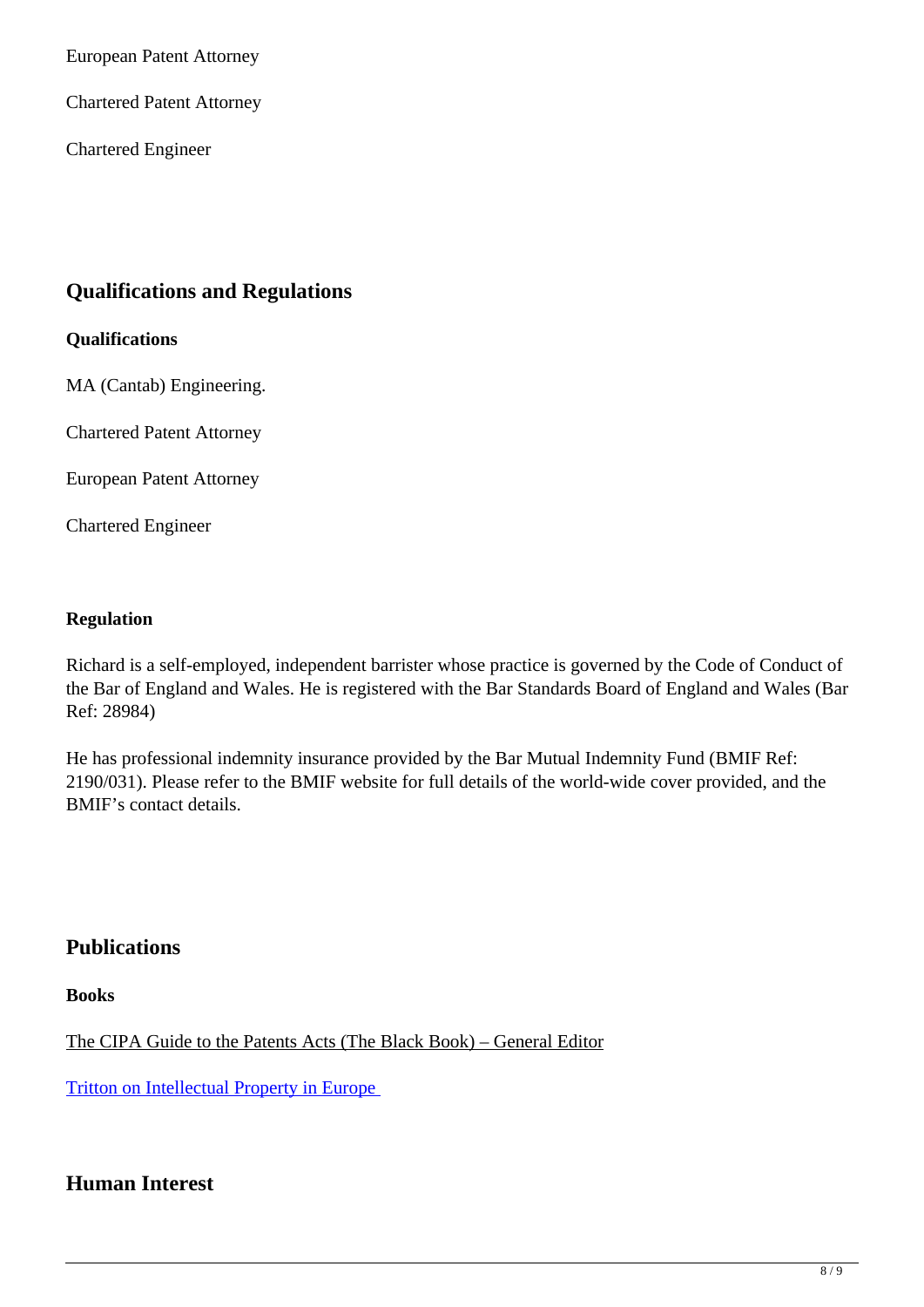European Patent Attorney

Chartered Patent Attorney

Chartered Engineer

# **Qualifications and Regulations**

#### **Qualifications**

MA (Cantab) Engineering.

Chartered Patent Attorney

European Patent Attorney

Chartered Engineer

#### **Regulation**

Richard is a self-employed, independent barrister whose practice is governed by the Code of Conduct of the Bar of England and Wales. He is registered with the Bar Standards Board of England and Wales (Bar Ref: 28984)

He has professional indemnity insurance provided by the Bar Mutual Indemnity Fund (BMIF Ref: 2190/031). Please refer to the BMIF website for full details of the world-wide cover provided, and the BMIF's contact details.

# **Publications**

**Books**

The CIPA Guide to the Patents Acts (The Black Book) – General Editor

Tritton on Intellectual Property in Europe

# **Human Interest**